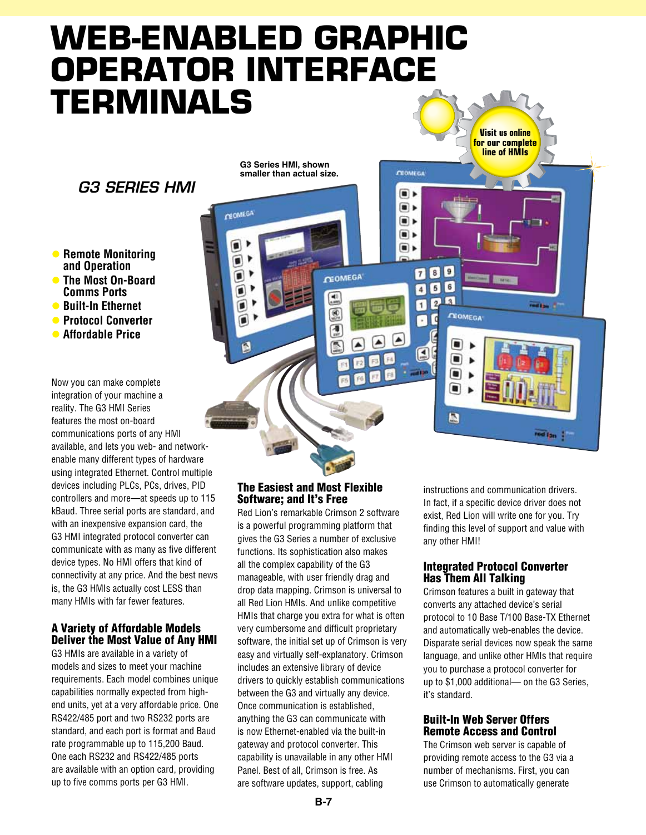# **Web-Enabled Graphic Operator Interface Terminals**

**CEOMEGA** 

٠

ī

**G3 Series HMI, shown smaller than actual size.**

### *G3 Series HMI*

**• Remote Monitoring and Operation • The Most On-Board Comms Ports**

- $\bullet$  **Built-In Ethernet**
- **Protocol Converter**
- **C** Affordable Price

Now you can make complete integration of your machine a reality. The G3 HMI Series features the most on-board communications ports of any HMI available, and lets you web- and networkenable many different types of hardware using integrated Ethernet. Control multiple devices including PLCs, PCs, drives, PID controllers and more—at speeds up to 115 kBaud. Three serial ports are standard, and with an inexpensive expansion card, the G3 HMI integrated protocol converter can communicate with as many as five different device types. No HMI offers that kind of connectivity at any price. And the best news is, the G3 HMIs actually cost LESS than many HMIs with far fewer features.

#### A Variety of Affordable Models Deliver the Most Value of Any HMI

G3 HMIs are available in a variety of models and sizes to meet your machine requirements. Each model combines unique capabilities normally expected from highend units, yet at a very affordable price. One RS422/485 port and two RS232 ports are standard, and each port is format and Baud rate programmable up to 115,200 Baud. One each RS232 and RS422/485 ports are available with an option card, providing up to five comms ports per G3 HMI.

#### The Easiest and Most Flexible Software; and It's Free

**GEOMEGA** 

 $\frac{d\theta}{dt}$ 

 $\circledR$ 

同

Red Lion's remarkable Crimson 2 software is a powerful programming platform that gives the G3 Series a number of exclusive functions. Its sophistication also makes all the complex capability of the G3 manageable, with user friendly drag and drop data mapping. Crimson is universal to all Red Lion HMIs. And unlike competitive HMIs that charge you extra for what is often very cumbersome and difficult proprietary software, the initial set up of Crimson is very easy and virtually self-explanatory. Crimson includes an extensive library of device drivers to quickly establish communications between the G3 and virtually any device. Once communication is established, anything the G3 can communicate with is now Ethernet-enabled via the built-in gateway and protocol converter. This capability is unavailable in any other HMI Panel. Best of all, Crimson is free. As are software updates, support, cabling

instructions and communication drivers. In fact, if a specific device driver does not exist, Red Lion will write one for you. Try finding this level of support and value with any other HMI!

**Visit us online for our complete line of HMIs**

**Base** 

**COLLEGE I** 

**TOO TOO** 

**CEOMEGA** 

 $\blacksquare$ ⊪

⊪  $\blacksquare$ ⊪

789

C F

Ø  $\boxed{5}$ 

E

 $\sqrt{6}$ 

 $\sqrt{3}$  $\mathbf{z}$ n

**CEOMEGA** 

۰

О  $\blacksquare$  $\blacksquare$ 

 $\blacksquare$ 

#### Integrated Protocol Converter Has Them All Talking

Crimson features a built in gateway that converts any attached device's serial protocol to 10 Base T/100 Base-TX Ethernet and automatically web-enables the device. Disparate serial devices now speak the same language, and unlike other HMIs that require you to purchase a protocol converter for up to \$1,000 additional— on the G3 Series, it's standard.

#### Built-In Web Server Offers Remote Access and Control

The Crimson web server is capable of providing remote access to the G3 via a number of mechanisms. First, you can use Crimson to automatically generate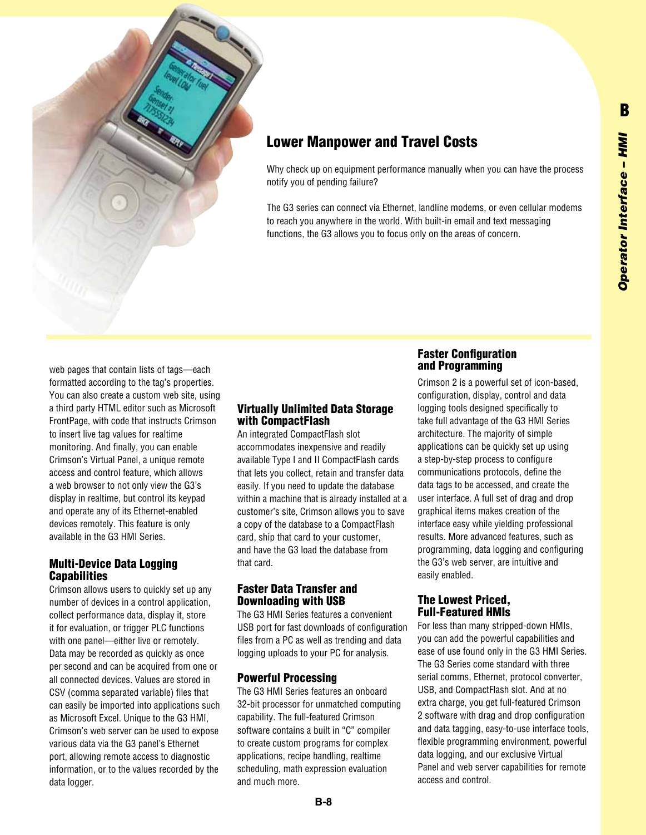

## Lower Manpower and Travel Costs

Why check up on equipment performance manually when you can have the process notify you of pending failure?

The G3 series can connect via Ethernet, landline modems, or even cellular modems to reach you anywhere in the world. With built-in email and text messaging functions, the G3 allows you to focus only on the areas of concern.

web pages that contain lists of tags—each formatted according to the tag's properties. You can also create a custom web site, using a third party HTML editor such as Microsoft FrontPage, with code that instructs Crimson to insert live tag values for realtime monitoring. And finally, you can enable Crimson's Virtual Panel, a unique remote access and control feature, which allows a web browser to not only view the G3's display in realtime, but control its keypad and operate any of its Ethernet-enabled devices remotely. This feature is only available in the G3 HMI Series.

#### Multi-Device Data Logging Capabilities

Crimson allows users to quickly set up any number of devices in a control application, collect performance data, display it, store it for evaluation, or trigger PLC functions with one panel—either live or remotely. Data may be recorded as quickly as once per second and can be acquired from one or all connected devices. Values are stored in CSV (comma separated variable) files that can easily be imported into applications such as Microsoft Excel. Unique to the G3 HMI, Crimson's web server can be used to expose various data via the G3 panel's Ethernet port, allowing remote access to diagnostic information, or to the values recorded by the data logger.

#### Virtually Unlimited Data Storage with CompactFlash

An integrated CompactFlash slot accommodates inexpensive and readily available Type I and II CompactFlash cards that lets you collect, retain and transfer data easily. If you need to update the database within a machine that is already installed at a customer's site, Crimson allows you to save a copy of the database to a CompactFlash card, ship that card to your customer, and have the G3 load the database from that card.

#### Faster Data Transfer and Downloading with USB

The G3 HMI Series features a convenient USB port for fast downloads of configuration files from a PC as well as trending and data logging uploads to your PC for analysis.

#### Powerful Processing

The G3 HMI Series features an onboard 32-bit processor for unmatched computing capability. The full-featured Crimson software contains a built in "C" compiler to create custom programs for complex applications, recipe handling, realtime scheduling, math expression evaluation and much more.

#### Faster Configuration and Programming

Crimson 2 is a powerful set of icon-based, configuration, display, control and data logging tools designed specifically to take full advantage of the G3 HMI Series architecture. The majority of simple applications can be quickly set up using a step-by-step process to configure communications protocols, define the data tags to be accessed, and create the user interface. A full set of drag and drop graphical items makes creation of the interface easy while yielding professional results. More advanced features, such as programming, data logging and configuring the G3's web server, are intuitive and easily enabled.

#### The Lowest Priced, Full-Featured HMIs

For less than many stripped-down HMIs, you can add the powerful capabilities and ease of use found only in the G3 HMI Series. The G3 Series come standard with three serial comms, Ethernet, protocol converter, USB, and CompactFlash slot. And at no extra charge, you get full-featured Crimson 2 software with drag and drop configuration and data tagging, easy-to-use interface tools, flexible programming environment, powerful data logging, and our exclusive Virtual Panel and web server capabilities for remote access and control.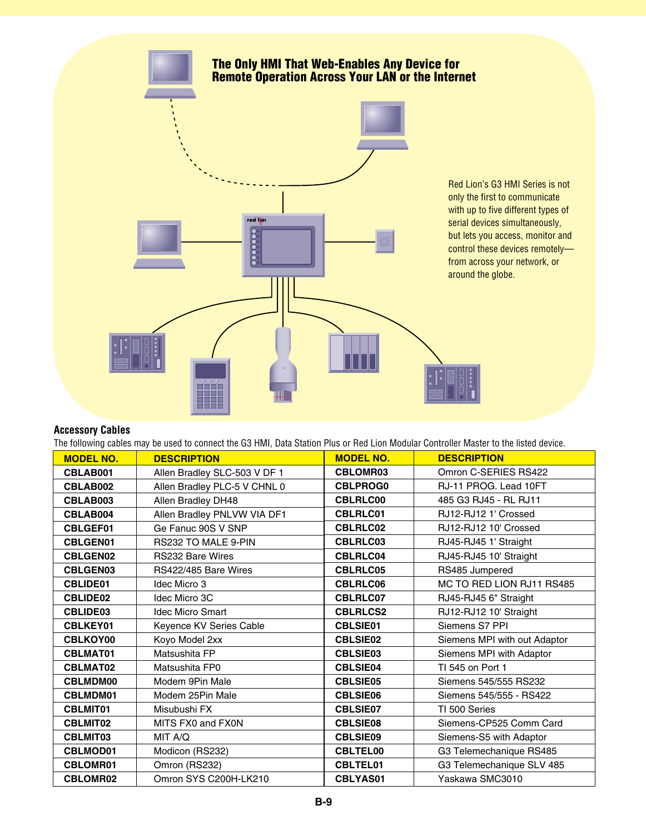

#### **Accessory Cables**

The following cables may be used to connect the G3 HMI, Data Station Plus or Red Lion Modular Controller Master to the listed device.

| <b>MODEL NO.</b> | <b>DESCRIPTION</b>           | <b>MODEL NO.</b> | <b>DESCRIPTION</b>           |
|------------------|------------------------------|------------------|------------------------------|
| CBLAB001         | Allen Bradley SLC-503 V DF 1 | <b>CBLOMR03</b>  | Omron C-SERIES RS422         |
| CBLAB002         | Allen Bradley PLC-5 V CHNL 0 | <b>CBLPROG0</b>  | RJ-11 PROG. Lead 10FT        |
| CBLAB003         | Allen Bradley DH48           | <b>CBLRLC00</b>  | 485 G3 RJ45 - RL RJ11        |
| CBLAB004         | Allen Bradley PNLVW VIA DF1  | <b>CBLRLC01</b>  | RJ12-RJ12 1' Crossed         |
| <b>CBLGEF01</b>  | Ge Fanuc 90S V SNP           | <b>CBLRLC02</b>  | RJ12-RJ12 10' Crossed        |
| <b>CBLGEN01</b>  | RS232 TO MALE 9-PIN          | <b>CBLRLC03</b>  | RJ45-RJ45 1' Straight        |
| <b>CBLGEN02</b>  | <b>RS232 Bare Wires</b>      | <b>CBLRLC04</b>  | RJ45-RJ45 10' Straight       |
| <b>CBLGEN03</b>  | RS422/485 Bare Wires         | <b>CBLRLC05</b>  | RS485 Jumpered               |
| <b>CBLIDE01</b>  | Idec Micro 3                 | CBLRLC06         | MC TO RED LION RJ11 RS485    |
| <b>CBLIDE02</b>  | Idec Micro 3C                | <b>CBLRLC07</b>  | RJ45-RJ45 6" Straight        |
| CBLIDE03         | <b>Idec Micro Smart</b>      | <b>CBLRLCS2</b>  | RJ12-RJ12 10' Straight       |
| <b>CBLKEY01</b>  | Keyence KV Series Cable      | <b>CBLSIE01</b>  | Siemens S7 PPI               |
| CBLKOY00         | Koyo Model 2xx               | <b>CBLSIE02</b>  | Siemens MPI with out Adaptor |
| <b>CBLMAT01</b>  | Matsushita FP                | <b>CBLSIE03</b>  | Siemens MPI with Adaptor     |
| <b>CBLMAT02</b>  | Matsushita FP0               | <b>CBLSIE04</b>  | TI 545 on Port 1             |
| <b>CBLMDM00</b>  | Modem 9Pin Male              | <b>CBLSIE05</b>  | Siemens 545/555 RS232        |
| <b>CBLMDM01</b>  | Modem 25Pin Male             | <b>CBLSIE06</b>  | Siemens 545/555 - RS422      |
| <b>CBLMIT01</b>  | Misubushi FX                 | <b>CBLSIE07</b>  | TI 500 Series                |
| <b>CBLMIT02</b>  | MITS FX0 and FX0N            | <b>CBLSIE08</b>  | Siemens-CP525 Comm Card      |
| <b>CBLMIT03</b>  | MIT A/Q                      | <b>CBLSIE09</b>  | Siemens-S5 with Adaptor      |
| <b>CBLMOD01</b>  | Modicon (RS232)              | <b>CBLTEL00</b>  | G3 Telemechanique RS485      |
| <b>CBLOMR01</b>  | Omron (RS232)                | <b>CBLTEL01</b>  | G3 Telemechanique SLV 485    |
| <b>CBLOMR02</b>  | Omron SYS C200H-LK210        | <b>CBLYAS01</b>  | Yaskawa SMC3010              |